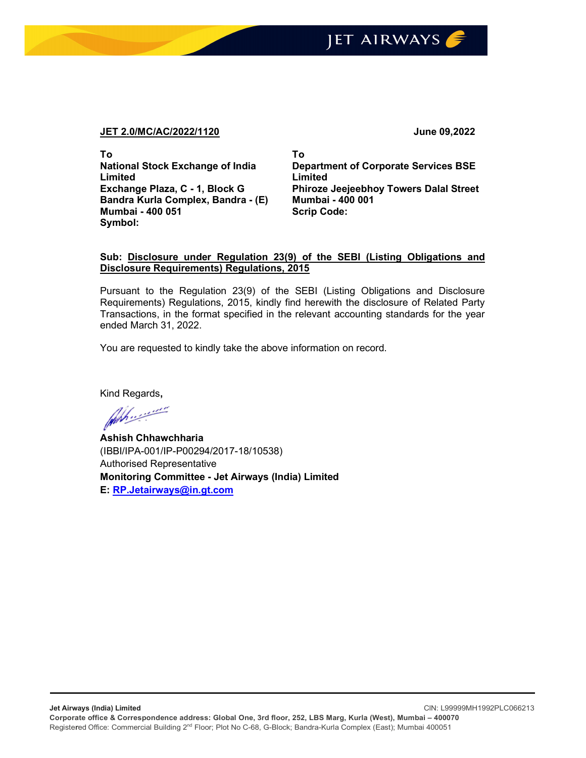## JET AIRWAYS

## JET 2.0/MC/AC/2022/1120 June 09,2022

To National Stock Exchange of India Limited Exchange Plaza, C - 1, Block G Bandra Kurla Complex, Bandra - (E) Mumbai - 400 051 Symbol:

To Department of Corporate Services BSE Limited Phiroze Jeejeebhoy Towers Dalal Street Mumbai - 400 001 Scrip Code:

## Sub: Disclosure under Regulation 23(9) of the SEBI (Listing Obligations and Disclosure Requirements) Regulations, 2015

Pursuant to the Regulation 23(9) of the SEBI (Listing Obligations and Disclosure Requirements) Regulations, 2015, kindly find herewith the disclosure of Related Party Transactions, in the format specified in the relevant accounting standards for the year ended March 31, 2022.

You are requested to kindly take the above information on record.

Kind Regards,

Ashish Chhawchharia (IBBI/IPA-001/IP-P00294/2017-18/10538) Authorised Representative Monitoring Committee - Jet Airways (India) Limited E: RP.Jetairways@in.gt.com